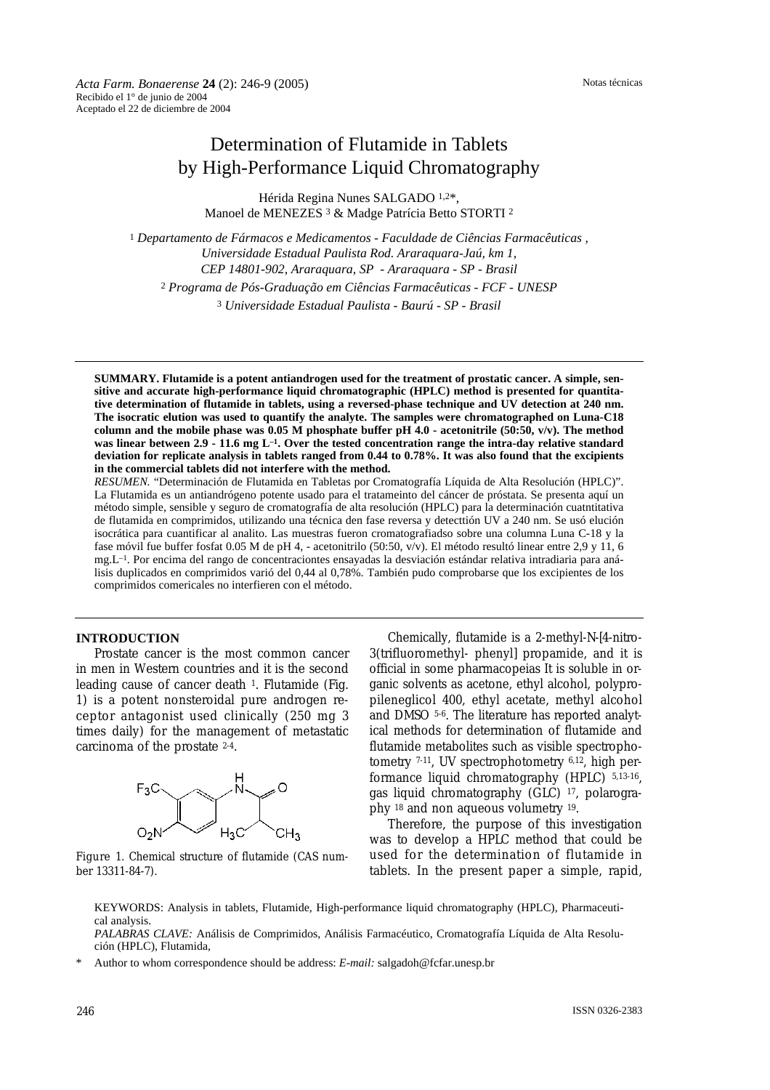Notas técnicas

# Determination of Flutamide in Tablets by High-Performance Liquid Chromatography

Hérida Regina Nunes SALGADO 1,2\*, Manoel de MENEZES 3 & Madge Patrícia Betto STORTI 2

<sup>1</sup> *Departamento de Fármacos e Medicamentos - Faculdade de Ciências Farmacêuticas , Universidade Estadual Paulista Rod. Araraquara-Jaú, km 1, CEP 14801-902, Araraquara, SP - Araraquara - SP - Brasil* <sup>2</sup> *Programa de Pós-Graduação em Ciências Farmacêuticas - FCF - UNESP* <sup>3</sup> *Universidade Estadual Paulista - Baurú - SP - Brasil*

**SUMMARY. Flutamide is a potent antiandrogen used for the treatment of prostatic cancer. A simple, sensitive and accurate high-performance liquid chromatographic (HPLC) method is presented for quantitative determination of flutamide in tablets, using a reversed-phase technique and UV detection at 240 nm. The isocratic elution was used to quantify the analyte. The samples were chromatographed on Luna-C18** column and the mobile phase was  $0.05$  M phosphate buffer pH  $4.0$  - acetonitrile (50:50, v/v). The method **was linear between 2.9 - 11.6 mg L–1. Over the tested concentration range the intra-day relative standard deviation for replicate analysis in tablets ranged from 0.44 to 0.78%. It was also found that the excipients in the commercial tablets did not interfere with the method.**

*RESUMEN.* "Determinación de Flutamida en Tabletas por Cromatografía Líquida de Alta Resolución (HPLC)". La Flutamida es un antiandrógeno potente usado para el tratameinto del cáncer de próstata. Se presenta aquí un método simple, sensible y seguro de cromatografía de alta resolución (HPLC) para la determinación cuatntitativa de flutamida en comprimidos, utilizando una técnica den fase reversa y detecttión UV a 240 nm. Se usó elución isocrática para cuantificar al analito. Las muestras fueron cromatografiadso sobre una columna Luna C-18 y la fase móvil fue buffer fosfat 0.05 M de pH 4, - acetonitrilo (50:50, v/v). El método resultó linear entre 2,9 y 11, 6 mg.L–1. Por encima del rango de concentraciontes ensayadas la desviación estándar relativa intradiaria para análisis duplicados en comprimidos varió del 0,44 al 0,78%. También pudo comprobarse que los excipientes de los comprimidos comericales no interfieren con el método.

#### **INTRODUCTION**

Prostate cancer is the most common cancer in men in Western countries and it is the second leading cause of cancer death 1. Flutamide (Fig. 1) is a potent nonsteroidal pure androgen receptor antagonist used clinically (250 mg 3 times daily) for the management of metastatic carcinoma of the prostate 2-4.



Figure 1. Chemical structure of flutamide (CAS number 13311-84-7).

Chemically, flutamide is a 2-methyl-*N*-[4-nitro-3(trifluoromethyl- phenyl] propamide, and it is official in some pharmacopeias It is soluble in organic solvents as acetone, ethyl alcohol, polypropileneglicol 400, ethyl acetate, methyl alcohol and DMSO 5-6. The literature has reported analytical methods for determination of flutamide and flutamide metabolites such as visible spectrophotometry 7-11, UV spectrophotometry 6,12, high performance liquid chromatography (HPLC) 5,13-16, gas liquid chromatography (GLC) 17, polarography 18 and non aqueous volumetry 19.

Therefore, the purpose of this investigation was to develop a HPLC method that could be used for the determination of flutamide in tablets. In the present paper a simple, rapid,

KEYWORDS: Analysis in tablets, Flutamide, High-performance liquid chromatography (HPLC), Pharmaceutical analysis.

*PALABRAS CLAVE:* Análisis de Comprimidos, Análisis Farmacéutico, Cromatografía Líquida de Alta Resolución (HPLC), Flutamida,

\* Author to whom correspondence should be address: *E-mail:* salgadoh@fcfar.unesp.br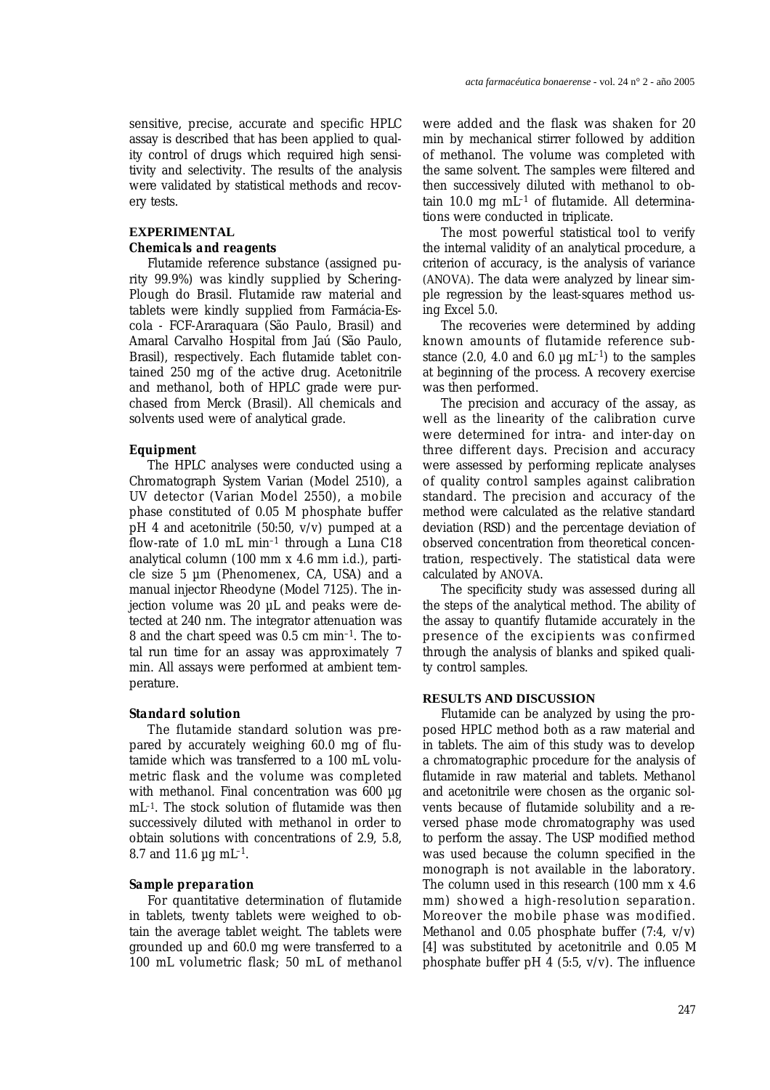sensitive, precise, accurate and specific HPLC assay is described that has been applied to quality control of drugs which required high sensitivity and selectivity. The results of the analysis were validated by statistical methods and recovery tests.

# **EXPERIMENTAL** *Chemicals and reagents*

Flutamide reference substance (assigned purity 99.9%) was kindly supplied by Schering-Plough do Brasil. Flutamide raw material and tablets were kindly supplied from Farmácia-Escola - FCF-Araraquara (São Paulo, Brasil) and Amaral Carvalho Hospital from Jaú (São Paulo, Brasil), respectively. Each flutamide tablet contained 250 mg of the active drug. Acetonitrile and methanol, both of HPLC grade were purchased from Merck (Brasil). All chemicals and solvents used were of analytical grade.

#### *Equipment*

The HPLC analyses were conducted using a Chromatograph System Varian (Model 2510), a UV detector (Varian Model 2550), a mobile phase constituted of 0.05 M phosphate buffer pH 4 and acetonitrile (50:50, v/v) pumped at a flow-rate of 1.0 mL min<sup>-1</sup> through a Luna C18 analytical column (100 mm x 4.6 mm i.d.), particle size 5 µm (Phenomenex, CA, USA) and a manual injector Rheodyne (Model 7125). The injection volume was 20 µL and peaks were detected at 240 nm. The integrator attenuation was 8 and the chart speed was 0.5 cm min–1. The total run time for an assay was approximately 7 min. All assays were performed at ambient temperature.

### *Standard solution*

The flutamide standard solution was prepared by accurately weighing 60.0 mg of flutamide which was transferred to a 100 mL volumetric flask and the volume was completed with methanol. Final concentration was 600 µg mL–1. The stock solution of flutamide was then successively diluted with methanol in order to obtain solutions with concentrations of 2.9, 5.8, 8.7 and 11.6  $\mu$ g mL<sup>-1</sup>.

#### *Sample preparation*

For quantitative determination of flutamide in tablets, twenty tablets were weighed to obtain the average tablet weight. The tablets were grounded up and 60.0 mg were transferred to a 100 mL volumetric flask; 50 mL of methanol

were added and the flask was shaken for 20 min by mechanical stirrer followed by addition of methanol. The volume was completed with the same solvent. The samples were filtered and then successively diluted with methanol to obtain  $10.0$  mg mL $^{-1}$  of flutamide. All determinations were conducted in triplicate.

The most powerful statistical tool to verify the internal validity of an analytical procedure, a criterion of accuracy, is the analysis of variance (ANOVA). The data were analyzed by linear simple regression by the least-squares method using Excel 5.0.

The recoveries were determined by adding known amounts of flutamide reference substance  $(2.0, 4.0 \text{ and } 6.0 \mu\text{g} \text{ mL}^{-1})$  to the samples at beginning of the process. A recovery exercise was then performed.

The precision and accuracy of the assay, as well as the linearity of the calibration curve were determined for intra- and inter-day on three different days. Precision and accuracy were assessed by performing replicate analyses of quality control samples against calibration standard. The precision and accuracy of the method were calculated as the relative standard deviation (RSD) and the percentage deviation of observed concentration from theoretical concentration, respectively. The statistical data were calculated by ANOVA.

The specificity study was assessed during all the steps of the analytical method. The ability of the assay to quantify flutamide accurately in the presence of the excipients was confirmed through the analysis of blanks and spiked quality control samples.

#### **RESULTS AND DISCUSSION**

Flutamide can be analyzed by using the proposed HPLC method both as a raw material and in tablets. The aim of this study was to develop a chromatographic procedure for the analysis of flutamide in raw material and tablets. Methanol and acetonitrile were chosen as the organic solvents because of flutamide solubility and a reversed phase mode chromatography was used to perform the assay. The USP modified method was used because the column specified in the monograph is not available in the laboratory. The column used in this research (100 mm x 4.6 mm) showed a high-resolution separation. Moreover the mobile phase was modified. Methanol and 0.05 phosphate buffer (7:4, v/v) [4] was substituted by acetonitrile and 0.05 *M* phosphate buffer pH 4 (5:5,  $v/v$ ). The influence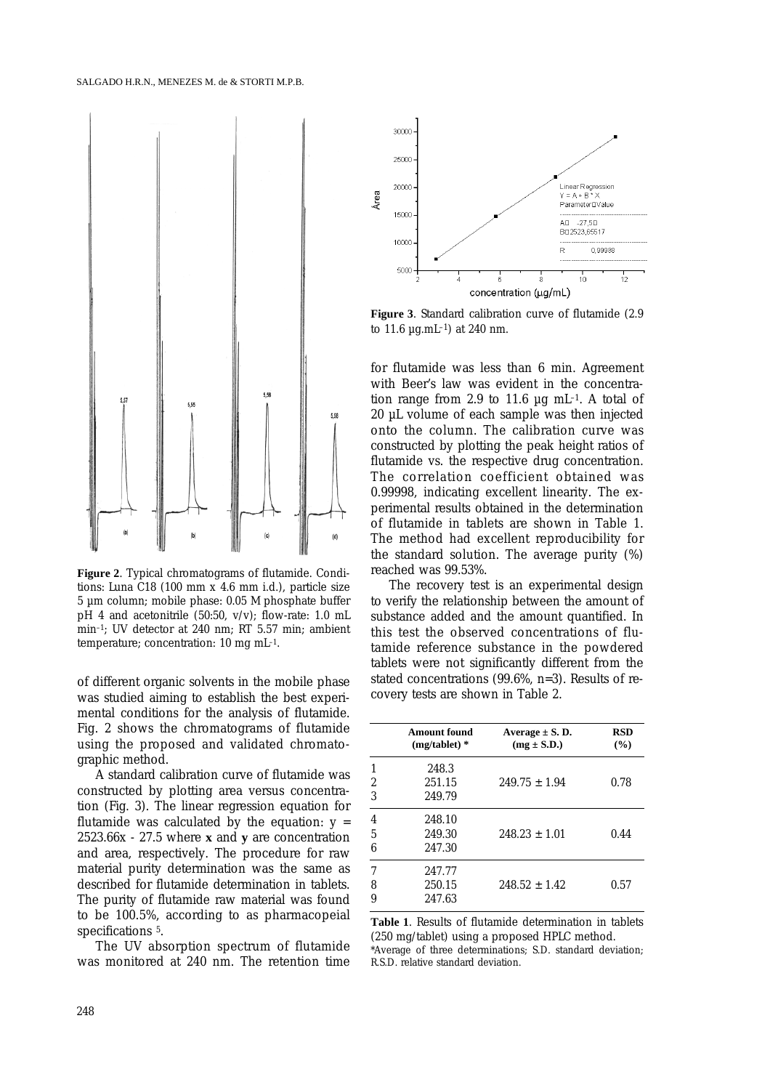

**Figure 2**. Typical chromatograms of flutamide. Conditions: Luna C18 (100 mm x 4.6 mm i.d.), particle size 5 µm column; mobile phase: 0.05 *M* phosphate buffer pH 4 and acetonitrile (50:50, v/v); flow-rate: 1.0 mL min–1; UV detector at 240 nm; RT 5.57 min; ambient temperature; concentration: 10 mg mL–1.

of different organic solvents in the mobile phase was studied aiming to establish the best experimental conditions for the analysis of flutamide. Fig. 2 shows the chromatograms of flutamide using the proposed and validated chromatographic method.

A standard calibration curve of flutamide was constructed by plotting area versus concentration (Fig. 3). The linear regression equation for flutamide was calculated by the equation:  $y =$ 2523.66x - 27.5 where **x** and **y** are concentration and area, respectively. The procedure for raw material purity determination was the same as described for flutamide determination in tablets. The purity of flutamide raw material was found to be 100.5%, according to as pharmacopeial specifications 5.

The UV absorption spectrum of flutamide was monitored at 240 nm. The retention time



**Figure 3**. Standard calibration curve of flutamide (2.9 to  $11.6 \mu g.mL^{-1}$  at 240 nm.

for flutamide was less than 6 min. Agreement with Beer's law was evident in the concentration range from 2.9 to 11.6  $\mu$ g mL<sup>-1</sup>. A total of 20 µL volume of each sample was then injected onto the column. The calibration curve was constructed by plotting the peak height ratios of flutamide vs. the respective drug concentration. The correlation coefficient obtained was 0.99998, indicating excellent linearity. The experimental results obtained in the determination of flutamide in tablets are shown in Table 1. The method had excellent reproducibility for the standard solution. The average purity (%) reached was 99.53%.

The recovery test is an experimental design to verify the relationship between the amount of substance added and the amount quantified. In this test the observed concentrations of flutamide reference substance in the powdered tablets were not significantly different from the stated concentrations (99.6%, n=3). Results of recovery tests are shown in Table 2.

|             | <b>Amount found</b><br>$(mg/tablet)*$ | Average $\pm$ S. D.<br>$(mg \pm S.D.)$ | <b>RSD</b><br>(%) |
|-------------|---------------------------------------|----------------------------------------|-------------------|
| 1<br>2<br>3 | 248.3<br>251.15<br>249.79             | $249.75 \pm 1.94$                      | 0.78              |
| 4<br>5<br>6 | 248.10<br>249.30<br>247.30            | $248.23 \pm 1.01$                      | 0.44              |
| 7<br>8<br>9 | 247.77<br>250.15<br>247.63            | $248.52 \pm 1.42$                      | 0.57              |

**Table 1**. Results of flutamide determination in tablets (250 mg/tablet) using a proposed HPLC method. \*Average of three determinations; S.D. standard deviation; R.S.D. relative standard deviation.